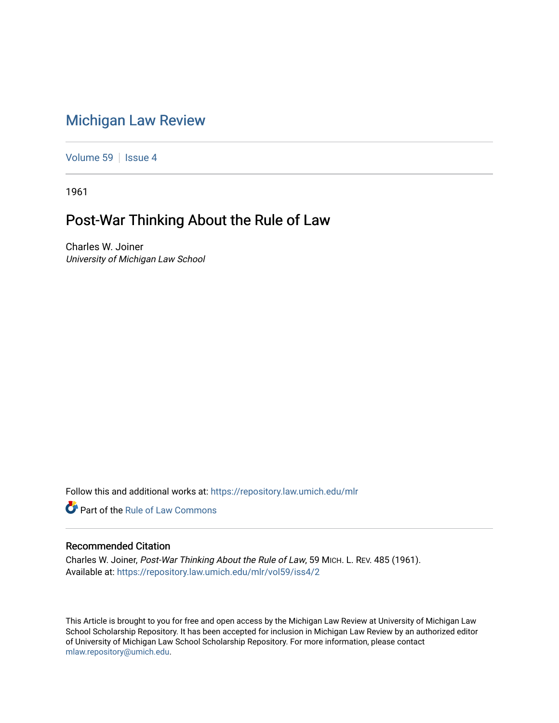## [Michigan Law Review](https://repository.law.umich.edu/mlr)

[Volume 59](https://repository.law.umich.edu/mlr/vol59) | [Issue 4](https://repository.law.umich.edu/mlr/vol59/iss4)

1961

## Post-War Thinking About the Rule of Law

Charles W. Joiner University of Michigan Law School

Follow this and additional works at: [https://repository.law.umich.edu/mlr](https://repository.law.umich.edu/mlr?utm_source=repository.law.umich.edu%2Fmlr%2Fvol59%2Fiss4%2F2&utm_medium=PDF&utm_campaign=PDFCoverPages) 

**C** Part of the Rule of Law Commons

## Recommended Citation

Charles W. Joiner, Post-War Thinking About the Rule of Law, 59 MICH. L. REV. 485 (1961). Available at: [https://repository.law.umich.edu/mlr/vol59/iss4/2](https://repository.law.umich.edu/mlr/vol59/iss4/2?utm_source=repository.law.umich.edu%2Fmlr%2Fvol59%2Fiss4%2F2&utm_medium=PDF&utm_campaign=PDFCoverPages)

This Article is brought to you for free and open access by the Michigan Law Review at University of Michigan Law School Scholarship Repository. It has been accepted for inclusion in Michigan Law Review by an authorized editor of University of Michigan Law School Scholarship Repository. For more information, please contact [mlaw.repository@umich.edu.](mailto:mlaw.repository@umich.edu)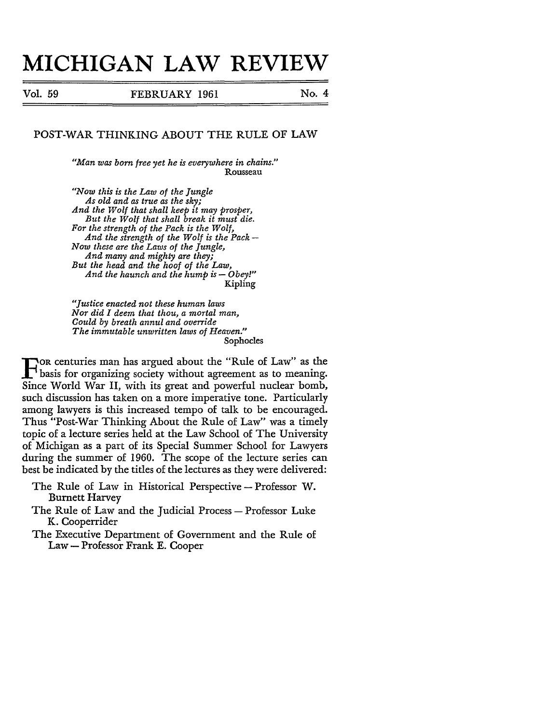## **MICHIGAN LAW REVIEW**

Vol. 59 **FEBRUARY 1961** No. 4

POST-WAR THINKING ABOUT THE RULE OF LAW

*"Man* W(I,S *born free yet he is everywhere in chains."*  Rousseau

*"Now this is the Law of the Jungle*   $\overline{A}$ s old and as true as the sky; *And the Wolf that shall keep it may prosper, But the Wolf that shall break it must die. For the strength of the Pack is the Wolf, And the strength of the Wolf is the Pack-Now these are the Laws of the Jungle, And many and mighty are they; But the head and the hoof of the Law, And the haunch and the hump is - Obey!"* Kipling

*"Justice enacted not these human laws Nor did I deem that thou, a mortal man, Could by breath annul and override The immutable unwritten laws of Heaven."*  Sophocles

F OR centuries man has argued about the "Rule of Law" as the basis for organizing society without agreement as to meaning.<br>Since World War II, with its great and powerful puclear bomb Since World War II, with its great and powerful nuclear bomb, such discussion has taken on a more imperative tone. Particularly among lawyers is this increased tempo of talk to be encouraged. Thus "Post-War Thinking About the Rule of Law" was a timely topic of a lecture series held at the Law School of The University of Michigan as a part of its Special Summer School for Lawyers during the summer of 1960. The scope of the lecture series can best be indicated by the titles of the lectures as they were delivered:

- The Rule of Law in Historical Perspective Professor W. Burnett Harvey
- The Rule of Law and the Judicial Process-Professor Luke K. Cooperrider
- The Executive Department of Government and the Rule of Law - Professor Frank E. Cooper